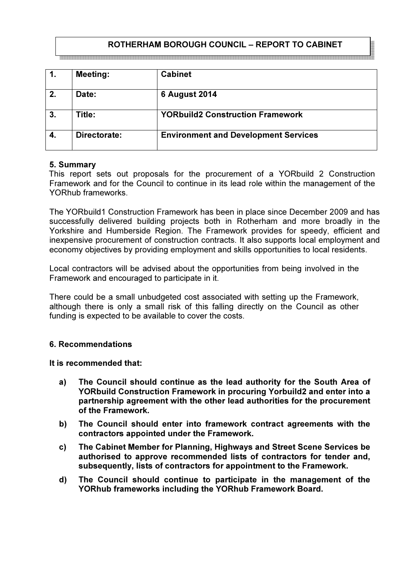# ROTHERHAM BOROUGH COUNCIL – REPORT TO CABINET

| 1. | <b>Meeting:</b> | <b>Cabinet</b>                              |
|----|-----------------|---------------------------------------------|
| 2. | Date:           | <b>6 August 2014</b>                        |
| 3. | Title:          | <b>YORbuild2 Construction Framework</b>     |
| 4. | Directorate:    | <b>Environment and Development Services</b> |

#### 5. Summary

This report sets out proposals for the procurement of a YORbuild 2 Construction Framework and for the Council to continue in its lead role within the management of the YORhub frameworks.

The YORbuild1 Construction Framework has been in place since December 2009 and has successfully delivered building projects both in Rotherham and more broadly in the Yorkshire and Humberside Region. The Framework provides for speedy, efficient and inexpensive procurement of construction contracts. It also supports local employment and economy objectives by providing employment and skills opportunities to local residents.

Local contractors will be advised about the opportunities from being involved in the Framework and encouraged to participate in it.

There could be a small unbudgeted cost associated with setting up the Framework, although there is only a small risk of this falling directly on the Council as other funding is expected to be available to cover the costs.

#### 6. Recommendations

It is recommended that:

- a) The Council should continue as the lead authority for the South Area of YORbuild Construction Framework in procuring Yorbuild2 and enter into a partnership agreement with the other lead authorities for the procurement of the Framework.
- b) The Council should enter into framework contract agreements with the contractors appointed under the Framework.
- c) The Cabinet Member for Planning, Highways and Street Scene Services be authorised to approve recommended lists of contractors for tender and, subsequently, lists of contractors for appointment to the Framework.
- d) The Council should continue to participate in the management of the YORhub frameworks including the YORhub Framework Board.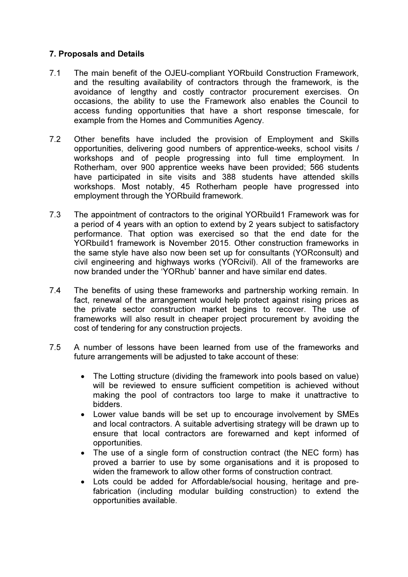## 7. Proposals and Details

- 7.1 The main benefit of the OJEU-compliant YORbuild Construction Framework, and the resulting availability of contractors through the framework, is the avoidance of lengthy and costly contractor procurement exercises. On occasions, the ability to use the Framework also enables the Council to access funding opportunities that have a short response timescale, for example from the Homes and Communities Agency.
- 7.2 Other benefits have included the provision of Employment and Skills opportunities, delivering good numbers of apprentice-weeks, school visits / workshops and of people progressing into full time employment. In Rotherham, over 900 apprentice weeks have been provided; 566 students have participated in site visits and 388 students have attended skills workshops. Most notably, 45 Rotherham people have progressed into employment through the YORbuild framework.
- 7.3 The appointment of contractors to the original YORbuild1 Framework was for a period of 4 years with an option to extend by 2 years subject to satisfactory performance. That option was exercised so that the end date for the YORbuild1 framework is November 2015. Other construction frameworks in the same style have also now been set up for consultants (YORconsult) and civil engineering and highways works (YORcivil). All of the frameworks are now branded under the 'YORhub' banner and have similar end dates.
- 7.4 The benefits of using these frameworks and partnership working remain. In fact, renewal of the arrangement would help protect against rising prices as the private sector construction market begins to recover. The use of frameworks will also result in cheaper project procurement by avoiding the cost of tendering for any construction projects.
- 7.5 A number of lessons have been learned from use of the frameworks and future arrangements will be adjusted to take account of these:
	- The Lotting structure (dividing the framework into pools based on value) will be reviewed to ensure sufficient competition is achieved without making the pool of contractors too large to make it unattractive to bidders.
	- Lower value bands will be set up to encourage involvement by SMEs and local contractors. A suitable advertising strategy will be drawn up to ensure that local contractors are forewarned and kept informed of opportunities.
	- The use of a single form of construction contract (the NEC form) has proved a barrier to use by some organisations and it is proposed to widen the framework to allow other forms of construction contract.
	- Lots could be added for Affordable/social housing, heritage and prefabrication (including modular building construction) to extend the opportunities available.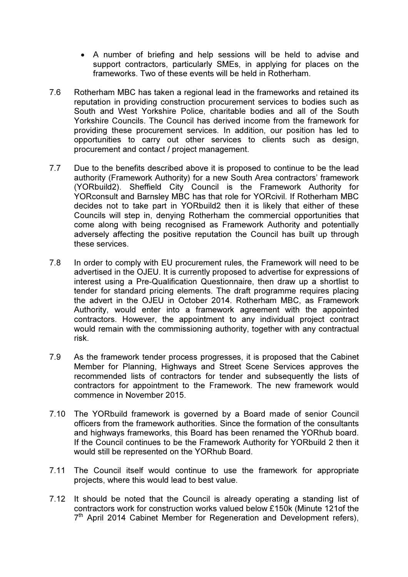- A number of briefing and help sessions will be held to advise and support contractors, particularly SMEs, in applying for places on the frameworks. Two of these events will be held in Rotherham.
- 7.6 Rotherham MBC has taken a regional lead in the frameworks and retained its reputation in providing construction procurement services to bodies such as South and West Yorkshire Police, charitable bodies and all of the South Yorkshire Councils. The Council has derived income from the framework for providing these procurement services. In addition, our position has led to opportunities to carry out other services to clients such as design, procurement and contact / project management.
- 7.7 Due to the benefits described above it is proposed to continue to be the lead authority (Framework Authority) for a new South Area contractors' framework (YORbuild2). Sheffield City Council is the Framework Authority for YORconsult and Barnsley MBC has that role for YORcivil. If Rotherham MBC decides not to take part in YORbuild2 then it is likely that either of these Councils will step in, denying Rotherham the commercial opportunities that come along with being recognised as Framework Authority and potentially adversely affecting the positive reputation the Council has built up through these services.
- 7.8 In order to comply with EU procurement rules, the Framework will need to be advertised in the OJEU. It is currently proposed to advertise for expressions of interest using a Pre-Qualification Questionnaire, then draw up a shortlist to tender for standard pricing elements. The draft programme requires placing the advert in the OJEU in October 2014. Rotherham MBC, as Framework Authority, would enter into a framework agreement with the appointed contractors. However, the appointment to any individual project contract would remain with the commissioning authority, together with any contractual risk.
- 7.9 As the framework tender process progresses, it is proposed that the Cabinet Member for Planning, Highways and Street Scene Services approves the recommended lists of contractors for tender and subsequently the lists of contractors for appointment to the Framework. The new framework would commence in November 2015.
- 7.10 The YORbuild framework is governed by a Board made of senior Council officers from the framework authorities. Since the formation of the consultants and highways frameworks, this Board has been renamed the YORhub board. If the Council continues to be the Framework Authority for YORbuild 2 then it would still be represented on the YORhub Board.
- 7.11 The Council itself would continue to use the framework for appropriate projects, where this would lead to best value.
- 7.12 It should be noted that the Council is already operating a standing list of contractors work for construction works valued below £150k (Minute 121of the 7<sup>th</sup> April 2014 Cabinet Member for Regeneration and Development refers),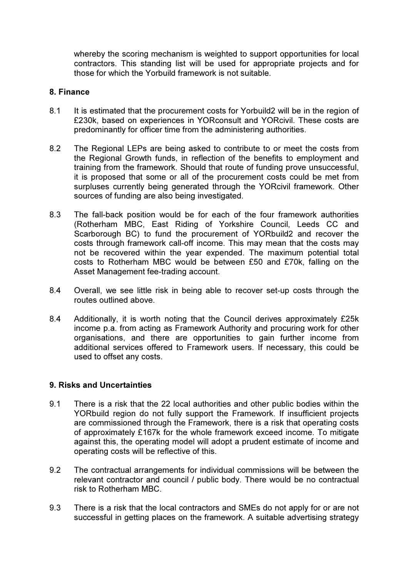whereby the scoring mechanism is weighted to support opportunities for local contractors. This standing list will be used for appropriate projects and for those for which the Yorbuild framework is not suitable.

#### 8. Finance

- 8.1 It is estimated that the procurement costs for Yorbuild2 will be in the region of £230k, based on experiences in YORconsult and YORcivil. These costs are predominantly for officer time from the administering authorities.
- 8.2 The Regional LEPs are being asked to contribute to or meet the costs from the Regional Growth funds, in reflection of the benefits to employment and training from the framework. Should that route of funding prove unsuccessful, it is proposed that some or all of the procurement costs could be met from surpluses currently being generated through the YORcivil framework. Other sources of funding are also being investigated.
- 8.3 The fall-back position would be for each of the four framework authorities (Rotherham MBC, East Riding of Yorkshire Council, Leeds CC and Scarborough BC) to fund the procurement of YORbuild2 and recover the costs through framework call-off income. This may mean that the costs may not be recovered within the year expended. The maximum potential total costs to Rotherham MBC would be between £50 and £70k, falling on the Asset Management fee-trading account.
- 8.4 Overall, we see little risk in being able to recover set-up costs through the routes outlined above.
- 8.4 Additionally, it is worth noting that the Council derives approximately £25k income p.a. from acting as Framework Authority and procuring work for other organisations, and there are opportunities to gain further income from additional services offered to Framework users. If necessary, this could be used to offset any costs.

### 9. Risks and Uncertainties

- 9.1 There is a risk that the 22 local authorities and other public bodies within the YORbuild region do not fully support the Framework. If insufficient projects are commissioned through the Framework, there is a risk that operating costs of approximately £167k for the whole framework exceed income. To mitigate against this, the operating model will adopt a prudent estimate of income and operating costs will be reflective of this.
- 9.2 The contractual arrangements for individual commissions will be between the relevant contractor and council / public body. There would be no contractual risk to Rotherham MBC.
- 9.3 There is a risk that the local contractors and SMEs do not apply for or are not successful in getting places on the framework. A suitable advertising strategy